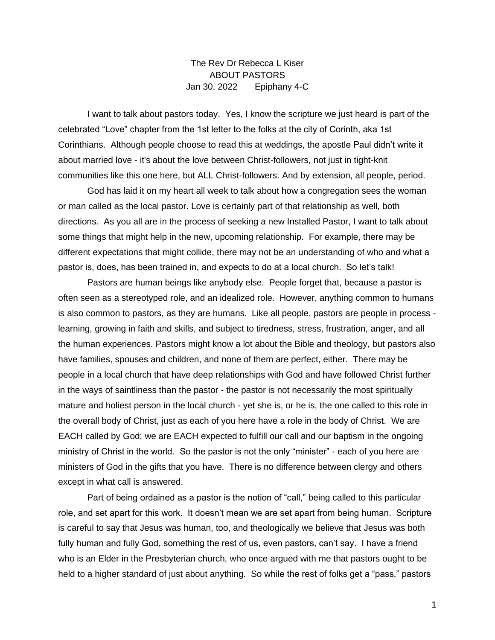## The Rev Dr Rebecca L Kiser ABOUT PASTORS Jan 30, 2022 Epiphany 4-C

 I want to talk about pastors today. Yes, I know the scripture we just heard is part of the celebrated "Love" chapter from the 1st letter to the folks at the city of Corinth, aka 1st Corinthians. Although people choose to read this at weddings, the apostle Paul didn't write it about married love - it's about the love between Christ-followers, not just in tight-knit communities like this one here, but ALL Christ-followers. And by extension, all people, period.

God has laid it on my heart all week to talk about how a congregation sees the woman or man called as the local pastor. Love is certainly part of that relationship as well, both directions. As you all are in the process of seeking a new Installed Pastor, I want to talk about some things that might help in the new, upcoming relationship. For example, there may be different expectations that might collide, there may not be an understanding of who and what a pastor is, does, has been trained in, and expects to do at a local church. So let's talk!

Pastors are human beings like anybody else. People forget that, because a pastor is often seen as a stereotyped role, and an idealized role. However, anything common to humans is also common to pastors, as they are humans. Like all people, pastors are people in process learning, growing in faith and skills, and subject to tiredness, stress, frustration, anger, and all the human experiences. Pastors might know a lot about the Bible and theology, but pastors also have families, spouses and children, and none of them are perfect, either. There may be people in a local church that have deep relationships with God and have followed Christ further in the ways of saintliness than the pastor - the pastor is not necessarily the most spiritually mature and holiest person in the local church - yet she is, or he is, the one called to this role in the overall body of Christ, just as each of you here have a role in the body of Christ. We are EACH called by God; we are EACH expected to fulfill our call and our baptism in the ongoing ministry of Christ in the world. So the pastor is not the only "minister" - each of you here are ministers of God in the gifts that you have. There is no difference between clergy and others except in what call is answered.

Part of being ordained as a pastor is the notion of "call," being called to this particular role, and set apart for this work. It doesn't mean we are set apart from being human. Scripture is careful to say that Jesus was human, too, and theologically we believe that Jesus was both fully human and fully God, something the rest of us, even pastors, can't say. I have a friend who is an Elder in the Presbyterian church, who once argued with me that pastors ought to be held to a higher standard of just about anything. So while the rest of folks get a "pass," pastors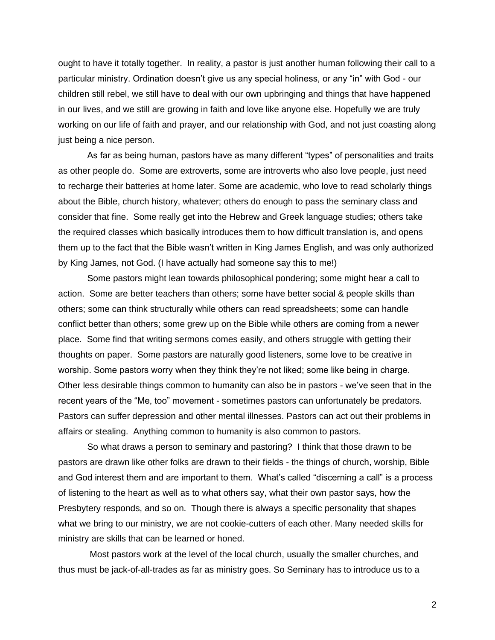ought to have it totally together. In reality, a pastor is just another human following their call to a particular ministry. Ordination doesn't give us any special holiness, or any "in" with God - our children still rebel, we still have to deal with our own upbringing and things that have happened in our lives, and we still are growing in faith and love like anyone else. Hopefully we are truly working on our life of faith and prayer, and our relationship with God, and not just coasting along just being a nice person.

As far as being human, pastors have as many different "types" of personalities and traits as other people do. Some are extroverts, some are introverts who also love people, just need to recharge their batteries at home later. Some are academic, who love to read scholarly things about the Bible, church history, whatever; others do enough to pass the seminary class and consider that fine. Some really get into the Hebrew and Greek language studies; others take the required classes which basically introduces them to how difficult translation is, and opens them up to the fact that the Bible wasn't written in King James English, and was only authorized by King James, not God. (I have actually had someone say this to me!)

Some pastors might lean towards philosophical pondering; some might hear a call to action. Some are better teachers than others; some have better social & people skills than others; some can think structurally while others can read spreadsheets; some can handle conflict better than others; some grew up on the Bible while others are coming from a newer place. Some find that writing sermons comes easily, and others struggle with getting their thoughts on paper. Some pastors are naturally good listeners, some love to be creative in worship. Some pastors worry when they think they're not liked; some like being in charge. Other less desirable things common to humanity can also be in pastors - we've seen that in the recent years of the "Me, too" movement - sometimes pastors can unfortunately be predators. Pastors can suffer depression and other mental illnesses. Pastors can act out their problems in affairs or stealing. Anything common to humanity is also common to pastors.

So what draws a person to seminary and pastoring? I think that those drawn to be pastors are drawn like other folks are drawn to their fields - the things of church, worship, Bible and God interest them and are important to them. What's called "discerning a call" is a process of listening to the heart as well as to what others say, what their own pastor says, how the Presbytery responds, and so on. Though there is always a specific personality that shapes what we bring to our ministry, we are not cookie-cutters of each other. Many needed skills for ministry are skills that can be learned or honed.

Most pastors work at the level of the local church, usually the smaller churches, and thus must be jack-of-all-trades as far as ministry goes. So Seminary has to introduce us to a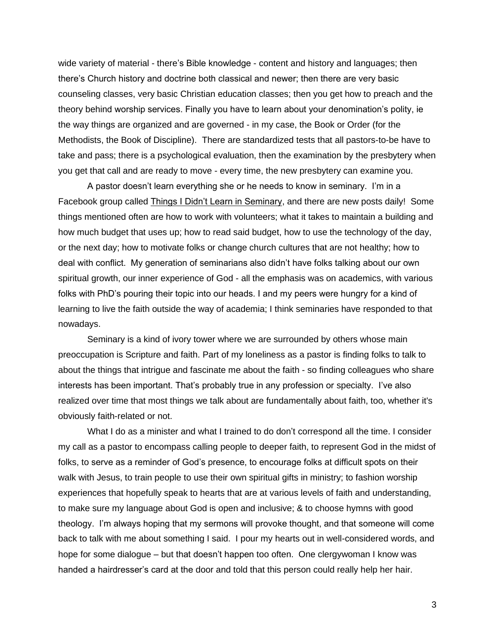wide variety of material - there's Bible knowledge - content and history and languages; then there's Church history and doctrine both classical and newer; then there are very basic counseling classes, very basic Christian education classes; then you get how to preach and the theory behind worship services. Finally you have to learn about your denomination's polity, ie the way things are organized and are governed - in my case, the Book or Order (for the Methodists, the Book of Discipline). There are standardized tests that all pastors-to-be have to take and pass; there is a psychological evaluation, then the examination by the presbytery when you get that call and are ready to move - every time, the new presbytery can examine you.

A pastor doesn't learn everything she or he needs to know in seminary. I'm in a Facebook group called Things I Didn't Learn in Seminary, and there are new posts daily! Some things mentioned often are how to work with volunteers; what it takes to maintain a building and how much budget that uses up; how to read said budget, how to use the technology of the day, or the next day; how to motivate folks or change church cultures that are not healthy; how to deal with conflict. My generation of seminarians also didn't have folks talking about our own spiritual growth, our inner experience of God - all the emphasis was on academics, with various folks with PhD's pouring their topic into our heads. I and my peers were hungry for a kind of learning to live the faith outside the way of academia; I think seminaries have responded to that nowadays.

Seminary is a kind of ivory tower where we are surrounded by others whose main preoccupation is Scripture and faith. Part of my loneliness as a pastor is finding folks to talk to about the things that intrigue and fascinate me about the faith - so finding colleagues who share interests has been important. That's probably true in any profession or specialty. I've also realized over time that most things we talk about are fundamentally about faith, too, whether it's obviously faith-related or not.

What I do as a minister and what I trained to do don't correspond all the time. I consider my call as a pastor to encompass calling people to deeper faith, to represent God in the midst of folks, to serve as a reminder of God's presence, to encourage folks at difficult spots on their walk with Jesus, to train people to use their own spiritual gifts in ministry; to fashion worship experiences that hopefully speak to hearts that are at various levels of faith and understanding, to make sure my language about God is open and inclusive; & to choose hymns with good theology. I'm always hoping that my sermons will provoke thought, and that someone will come back to talk with me about something I said. I pour my hearts out in well-considered words, and hope for some dialogue – but that doesn't happen too often. One clergywoman I know was handed a hairdresser's card at the door and told that this person could really help her hair.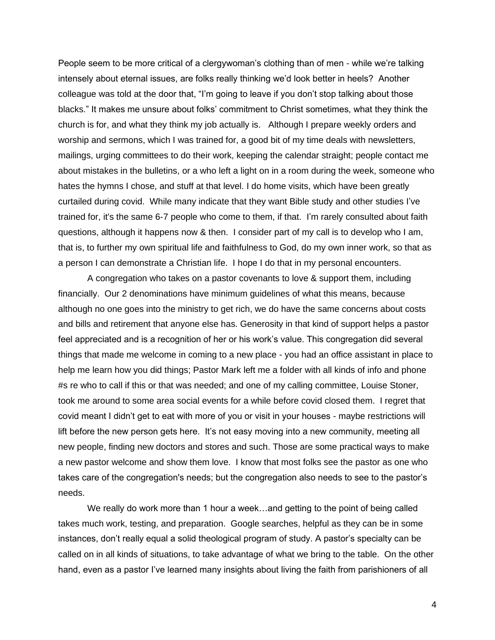People seem to be more critical of a clergywoman's clothing than of men - while we're talking intensely about eternal issues, are folks really thinking we'd look better in heels? Another colleague was told at the door that, "I'm going to leave if you don't stop talking about those blacks." It makes me unsure about folks' commitment to Christ sometimes, what they think the church is for, and what they think my job actually is. Although I prepare weekly orders and worship and sermons, which I was trained for, a good bit of my time deals with newsletters, mailings, urging committees to do their work, keeping the calendar straight; people contact me about mistakes in the bulletins, or a who left a light on in a room during the week, someone who hates the hymns I chose, and stuff at that level. I do home visits, which have been greatly curtailed during covid. While many indicate that they want Bible study and other studies I've trained for, it's the same 6-7 people who come to them, if that. I'm rarely consulted about faith questions, although it happens now & then. I consider part of my call is to develop who I am, that is, to further my own spiritual life and faithfulness to God, do my own inner work, so that as a person I can demonstrate a Christian life. I hope I do that in my personal encounters.

A congregation who takes on a pastor covenants to love & support them, including financially. Our 2 denominations have minimum guidelines of what this means, because although no one goes into the ministry to get rich, we do have the same concerns about costs and bills and retirement that anyone else has. Generosity in that kind of support helps a pastor feel appreciated and is a recognition of her or his work's value. This congregation did several things that made me welcome in coming to a new place - you had an office assistant in place to help me learn how you did things; Pastor Mark left me a folder with all kinds of info and phone #s re who to call if this or that was needed; and one of my calling committee, Louise Stoner, took me around to some area social events for a while before covid closed them. I regret that covid meant I didn't get to eat with more of you or visit in your houses - maybe restrictions will lift before the new person gets here. It's not easy moving into a new community, meeting all new people, finding new doctors and stores and such. Those are some practical ways to make a new pastor welcome and show them love. I know that most folks see the pastor as one who takes care of the congregation's needs; but the congregation also needs to see to the pastor's needs.

We really do work more than 1 hour a week...and getting to the point of being called takes much work, testing, and preparation. Google searches, helpful as they can be in some instances, don't really equal a solid theological program of study. A pastor's specialty can be called on in all kinds of situations, to take advantage of what we bring to the table. On the other hand, even as a pastor I've learned many insights about living the faith from parishioners of all